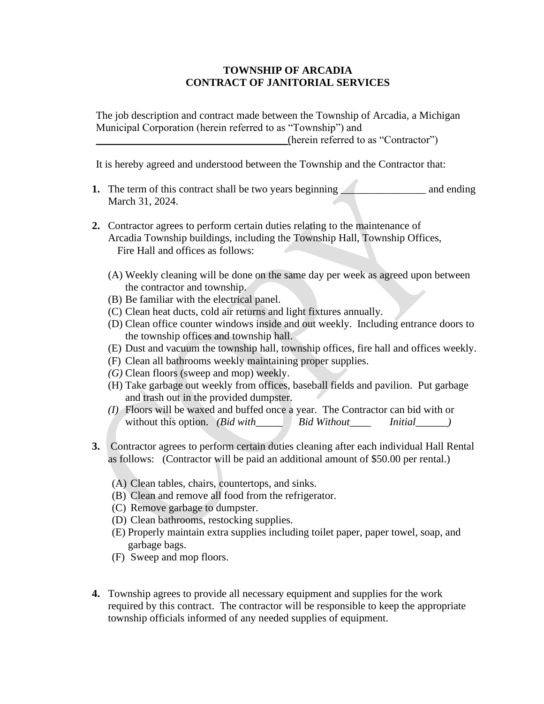## **TOWNSHIP OF ARCADIA CONTRACT OF JANITORIAL SERVICES**

The job description and contract made between the Township of Arcadia, a Michigan Municipal Corporation (herein referred to as "Township") and  $(herein referred to as "Contractor")$ 

It is hereby agreed and understood between the Township and the Contractor that:

- **1.** The term of this contract shall be two years beginning and ending March 31, 2024.
- **2.** Contractor agrees to perform certain duties relating to the maintenance of Arcadia Township buildings, including the Township Hall, Township Offices, Fire Hall and offices as follows:
	- (A) Weekly cleaning will be done on the same day per week as agreed upon between the contractor and township.
	- (B) Be familiar with the electrical panel.
	- (C) Clean heat ducts, cold air returns and light fixtures annually.
	- (D) Clean office counter windows inside and out weekly. Including entrance doors to the township offices and township hall.
	- (E) Dust and vacuum the township hall, township offices, fire hall and offices weekly.
	- (F) Clean all bathrooms weekly maintaining proper supplies.
	- *(G)* Clean floors (sweep and mop) weekly.
	- (H) Take garbage out weekly from offices, baseball fields and pavilion. Put garbage and trash out in the provided dumpster.
	- *(I)* Floors will be waxed and buffed once a year. The Contractor can bid with or without this option. *(Bid with and Bid Without Initial and Initial and Bid Without* Initial and *N*
- **3.** Contractor agrees to perform certain duties cleaning after each individual Hall Rental as follows: (Contractor will be paid an additional amount of \$50.00 per rental.)
	- (A) Clean tables, chairs, countertops, and sinks.
	- (B) Clean and remove all food from the refrigerator.
	- (C) Remove garbage to dumpster.
	- (D) Clean bathrooms, restocking supplies.
	- (E) Properly maintain extra supplies including toilet paper, paper towel, soap, and garbage bags.
	- (F) Sweep and mop floors.
- **4.** Township agrees to provide all necessary equipment and supplies for the work required by this contract. The contractor will be responsible to keep the appropriate township officials informed of any needed supplies of equipment.